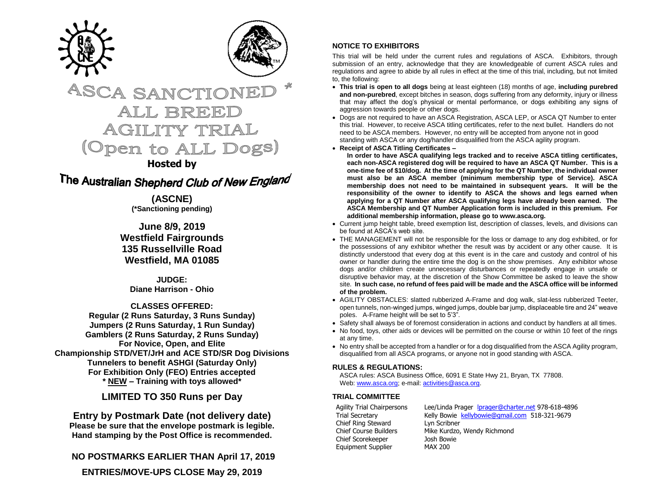



# **ASCA SANCTIONEI** ALL BREED **AGILITY TRIAL** (Open to ALL Dogs)

# **Hosted by**

The Australian Shepherd Club of New England

**(ASCNE) (\*Sanctioning pending)**

**June 8/9, 2019 Westfield Fairgrounds 135 Russellville Road Westfield, MA 01085**

**JUDGE: Diane Harrison - Ohio**

**CLASSES OFFERED: Regular (2 Runs Saturday, 3 Runs Sunday) Jumpers (2 Runs Saturday, 1 Run Sunday) Gamblers (2 Runs Saturday, 2 Runs Sunday) For Novice, Open, and Elite Championship STD/VET/JrH and ACE STD/SR Dog Divisions Tunnelers to benefit ASHGI (Saturday Only) For Exhibition Only (FEO) Entries accepted \* NEW – Training with toys allowed\***

**LIMITED TO 350 Runs per Day**

**Entry by Postmark Date (not delivery date) Please be sure that the envelope postmark is legible. Hand stamping by the Post Office is recommended.** 

**NO POSTMARKS EARLIER THAN April 17, 2019**

**ENTRIES/MOVE-UPS CLOSE May 29, 2019**

## **NOTICE TO EXHIBITORS**

This trial will be held under the current rules and regulations of ASCA. Exhibitors, through submission of an entry, acknowledge that they are knowledgeable of current ASCA rules and regulations and agree to abide by all rules in effect at the time of this trial, including, but not limited to, the following:

- **This trial is open to all dogs** being at least eighteen (18) months of age, **including purebred and non-purebred**, except bitches in season, dogs suffering from any deformity, injury or illness that may affect the dog's physical or mental performance, or dogs exhibiting any signs of aggression towards people or other dogs.
- Dogs are not required to have an ASCA Registration, ASCA LEP, or ASCA QT Number to enter this trial. However, to receive ASCA titling certificates, refer to the next bullet. Handlers do not need to be ASCA members. However, no entry will be accepted from anyone not in good standing with ASCA or any dog/handler disqualified from the ASCA agility program.
- **Receipt of ASCA Titling Certificates –**

**In order to have ASCA qualifying legs tracked and to receive ASCA titling certificates, each non-ASCA registered dog will be required to have an ASCA QT Number. This is a one-time fee of \$10/dog. At the time of applying for the QT Number, the individual owner must also be an ASCA member (minimum membership type of Service). ASCA membership does not need to be maintained in subsequent years. It will be the responsibility of the owner to identify to ASCA the shows and legs earned when applying for a QT Number after ASCA qualifying legs have already been earned. The ASCA Membership and QT Number Application form is included in this premium. For additional membership information, please go to www.asca.org.**

- Current jump height table, breed exemption list, description of classes, levels, and divisions can be found at ASCA's web site.
- THE MANAGEMENT will not be responsible for the loss or damage to any dog exhibited, or for the possessions of any exhibitor whether the result was by accident or any other cause. It is distinctly understood that every dog at this event is in the care and custody and control of his owner or handler during the entire time the dog is on the show premises. Any exhibitor whose dogs and/or children create unnecessary disturbances or repeatedly engage in unsafe or disruptive behavior may, at the discretion of the Show Committee be asked to leave the show site. **In such case, no refund of fees paid will be made and the ASCA office will be informed of the problem.**
- AGILITY OBSTACLES: slatted rubberized A-Frame and dog walk, slat-less rubberized Teeter, open tunnels, non-winged jumps, winged jumps, double bar jump, displaceable tire and 24" weave poles. A-Frame height will be set to 5'3".
- Safety shall always be of foremost consideration in actions and conduct by handlers at all times.
- No food, toys, other aids or devices will be permitted on the course or within 10 feet of the rings at any time.
- No entry shall be accepted from a handler or for a dog disqualified from the ASCA Agility program, disqualified from all ASCA programs, or anyone not in good standing with ASCA.

## **RULES & REGULATIONS:**

ASCA rules: ASCA Business Office, 6091 E State Hwy 21, Bryan, TX 77808. Web[: www.asca.org;](http://www.asca.org/) e-mail[: activities@asca.org.](mailto:activities@asca.org)

# **TRIAL COMMITTEE**

Chief Ring Steward Lyn Scribner Chief Scorekeeper Josh Bowie Equipment Supplier

Agility Trial Chairpersons Lee/Linda Prager [lprager@charter.net](mailto:lprager@charter.net) 978-618-4896 Trial Secretary Kelly Bowie [kellybowie@gmail.com](mailto:kellybowie@gmail.com) 518-321-9679 Chief Course Builders Mike Kurdzo, Wendy Richmond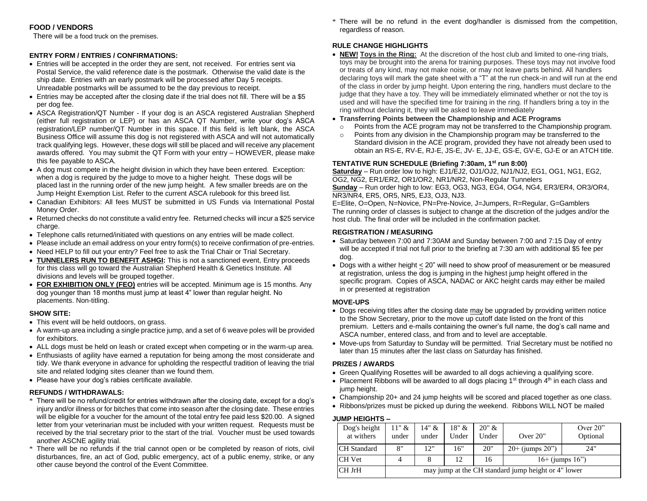## **FOOD / VENDORS**

There will be a food truck on the premises.

#### **ENTRY FORM / ENTRIES / CONFIRMATIONS:**

- Entries will be accepted in the order they are sent, not received. For entries sent via Postal Service, the valid reference date is the postmark. Otherwise the valid date is the ship date. Entries with an early postmark will be processed after Day 5 receipts. Unreadable postmarks will be assumed to be the day previous to receipt.
- Entries may be accepted after the closing date if the trial does not fill. There will be a \$5 per dog fee.
- ASCA Registration/QT Number If your dog is an ASCA registered Australian Shepherd (either full registration or LEP) or has an ASCA QT Number, write your dog's ASCA registration/LEP number/QT Number in this space. If this field is left blank, the ASCA Business Office will assume this dog is not registered with ASCA and will not automatically track qualifying legs. However, these dogs will still be placed and will receive any placement awards offered. You may submit the QT Form with your entry – HOWEVER, please make this fee payable to ASCA.
- A dog must compete in the height division in which they have been entered. Exception: when a dog is required by the judge to move to a higher height. These dogs will be placed last in the running order of the new jump height. A few smaller breeds are on the Jump Height Exemption List. Refer to the current ASCA rulebook for this breed list.
- Canadian Exhibitors: All fees MUST be submitted in US Funds via International Postal Money Order.
- Returned checks do not constitute a valid entry fee. Returned checks will incur a \$25 service charge.
- Telephone calls returned/initiated with questions on any entries will be made collect.
- Please include an email address on your entry form(s) to receive confirmation of pre-entries.
- Need HELP to fill out your entry? Feel free to ask the Trial Chair or Trial Secretary.
- **TUNNELERS RUN TO BENEFIT ASHGI:** This is not a sanctioned event, Entry proceeds for this class will go toward the Australian Shepherd Health & Genetics Institute. All divisions and levels will be grouped together.
- **FOR EXHIBITION ONLY (FEO)** entries will be accepted. Minimum age is 15 months. Any dog younger than 18 months must jump at least 4" lower than regular height. No placements. Non-titling.

#### **SHOW SITE:**

- This event will be held outdoors, on grass.
- A warm-up area including a single practice jump, and a set of 6 weave poles will be provided for exhibitors.
- ALL dogs must be held on leash or crated except when competing or in the warm-up area.
- Enthusiasts of agility have earned a reputation for being among the most considerate and tidy. We thank everyone in advance for upholding the respectful tradition of leaving the trial site and related lodging sites cleaner than we found them.
- Please have your dog's rabies certificate available.

#### **REFUNDS / WITHDRAWALS:**

- \* There will be no refund/credit for entries withdrawn after the closing date, except for a dog's injury and/or illness or for bitches that come into season after the closing date. These entries will be eligible for a voucher for the amount of the total entry fee paid less \$20.00. A signed letter from your veterinarian must be included with your written request. Requests must be received by the trial secretary prior to the start of the trial. Voucher must be used towards another ASCNE agility trial.
- \* There will be no refunds if the trial cannot open or be completed by reason of riots, civil disturbances, fire, an act of God, public emergency, act of a public enemy, strike, or any other cause beyond the control of the Event Committee.

\* There will be no refund in the event dog/handler is dismissed from the competition, regardless of reason.

### **RULE CHANGE HIGHLIGHTS**

- **NEW! Toys in the Ring:** At the discretion of the host club and limited to one-ring trials, toys may be brought into the arena for training purposes. These toys may not involve food or treats of any kind, may not make noise, or may not leave parts behind. All handlers declaring toys will mark the gate sheet with a "T" at the run check-in and will run at the end of the class in order by jump height. Upon entering the ring, handlers must declare to the judge that they have a toy. They will be immediately eliminated whether or not the toy is used and will have the specified time for training in the ring. If handlers bring a toy in the ring without declaring it, they will be asked to leave immediately
- **Transferring Points between the Championship and ACE Programs**
	- $\circ$  Points from the ACE program may not be transferred to the Championship program.
	- $\circ$  Points from any division in the Championship program may be transferred to the Standard division in the ACE program, provided they have not already been used to obtain an RS-E, RV-E, RJ-E, JS-E, JV- E, JJ-E, GS-E, GV-E, GJ-E or an ATCH title.

#### **TENTATIVE RUN SCHEDULE (Briefing 7:30am, 1st run 8:00)**

**Saturday** – Run order low to high: EJ1/EJ2, OJ1/OJ2, NJ1/NJ2, EG1, OG1, NG1, EG2, OG2, NG2, ER1/ER2, OR1/OR2, NR1/NR2, Non-Regular Tunnelers **Sunday** – Run order high to low: EG3, OG3, NG3, EG4, OG4, NG4, ER3/ER4, OR3/OR4, NR3/NR4, ER5, OR5, NR5, EJ3, OJ3, NJ3.

E=Elite, O=Open, N=Novice, PN=Pre-Novice, J=Jumpers, R=Regular, G=Gamblers The running order of classes is subject to change at the discretion of the judges and/or the host club. The final order will be included in the confirmation packet.

#### **REGISTRATION / MEASURING**

- Saturday between 7:00 and 7:30AM and Sunday between 7:00 and 7:15 Day of entry will be accepted if trial not full prior to the briefing at 7:30 am with additional \$5 fee per dog.
- Dogs with a wither height < 20" will need to show proof of measurement or be measured at registration, unless the dog is jumping in the highest jump height offered in the specific program. Copies of ASCA, NADAC or AKC height cards may either be mailed in or presented at registration

#### **MOVE-UPS**

- Dogs receiving titles after the closing date may be upgraded by providing written notice to the Show Secretary, prior to the move up cutoff date listed on the front of this premium. Letters and e-mails containing the owner's full name, the dog's call name and ASCA number, entered class, and from and to level are acceptable.
- Move-ups from Saturday to Sunday will be permitted. Trial Secretary must be notified no later than 15 minutes after the last class on Saturday has finished.

#### **PRIZES / AWARDS**

- Green Qualifying Rosettes will be awarded to all dogs achieving a qualifying score.
- Placement Ribbons will be awarded to all dogs placing  $1<sup>st</sup>$  through  $4<sup>th</sup>$  in each class and jump height.
- Championship 20+ and 24 jump heights will be scored and placed together as one class.
- Ribbons/prizes must be picked up during the weekend. Ribbons WILL NOT be mailed

# **JUMP HEIGHTS –**

| Dog's height<br>at withers | 11" &<br>under                                      | 14" &<br>under | 18" &<br>Under | 20" &<br>Under | Over $20$ "          | Over $20$ "<br>Optional |  |  |  |
|----------------------------|-----------------------------------------------------|----------------|----------------|----------------|----------------------|-------------------------|--|--|--|
| <b>CH</b> Standard         | 8"                                                  | 12"            | 16"            | 20"            | $20+$ (jumps $20$ ") | 24"                     |  |  |  |
| CH Vet                     | 4                                                   |                | 12             | 16             | $16+$ (jumps $16"$ ) |                         |  |  |  |
| CH JrH                     | may jump at the CH standard jump height or 4" lower |                |                |                |                      |                         |  |  |  |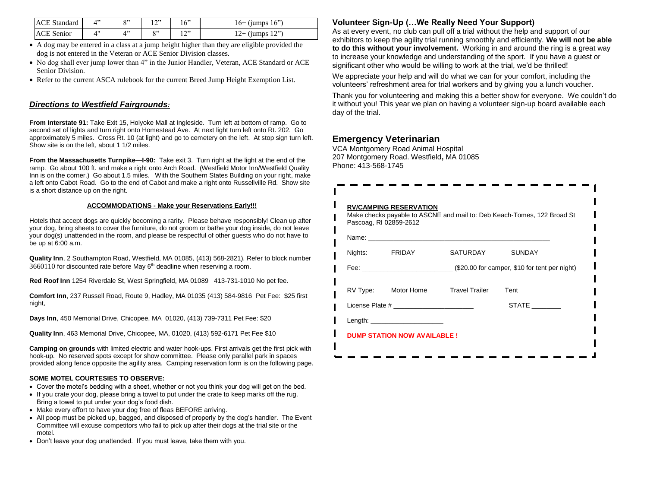| <b>ACE</b> Standard | O <sub>22</sub>         | 1222            | 16" | $16+$ (jumps $16"$ ) |
|---------------------|-------------------------|-----------------|-----|----------------------|
| <b>ACE Senior</b>   | $\Lambda$ <sup>22</sup> | O <sub>22</sub> | າລາ | $12+$ (jumps 12")    |

- A dog may be entered in a class at a jump height higher than they are eligible provided the dog is not entered in the Veteran or ACE Senior Division classes.
- No dog shall ever jump lower than 4" in the Junior Handler, Veteran, ACE Standard or ACE Senior Division.
- Refer to the current ASCA rulebook for the current Breed Jump Height Exemption List.

## *Directions to Westfield Fairgrounds:*

**From Interstate 91:** Take Exit 15, Holyoke Mall at Ingleside. Turn left at bottom of ramp. Go to second set of lights and turn right onto Homestead Ave. At next light turn left onto Rt. 202. Go approximately 5 miles. Cross Rt. 10 (at light) and go to cemetery on the left. At stop sign turn left. Show site is on the left, about 1 1/2 miles.

**From the Massachusetts Turnpike—I-90:** Take exit 3. Turn right at the light at the end of the ramp. Go about 100 ft. and make a right onto Arch Road. (Westfield Motor Inn/Westfield Quality Inn is on the corner.) Go about 1.5 miles. With the Southern States Building on your right, make a left onto Cabot Road. Go to the end of Cabot and make a right onto Russellville Rd. Show site is a short distance up on the right.

#### **ACCOMMODATIONS - Make your Reservations Early!!!**

Hotels that accept dogs are quickly becoming a rarity. Please behave responsibly! Clean up after your dog, bring sheets to cover the furniture, do not groom or bathe your dog inside, do not leave your dog(s) unattended in the room, and please be respectful of other guests who do not have to be up at 6:00 a.m.

**Quality Inn**, 2 Southampton Road, Westfield, MA 01085, (413) 568-2821). Refer to block number  $3660110$  for discounted rate before May  $6<sup>th</sup>$  deadline when reserving a room.

**Red Roof Inn** 1254 Riverdale St, West Springfield, MA 01089 413-731-1010 No pet fee.

**Comfort Inn**, 237 Russell Road, Route 9, Hadley, MA 01035 (413) 584-9816 Pet Fee: \$25 first night,

**Days Inn**, 450 Memorial Drive, Chicopee, MA 01020, (413) 739-7311 Pet Fee: \$20

**Quality Inn**, 463 Memorial Drive, Chicopee, MA, 01020, (413) 592-6171 Pet Fee \$10

**Camping on grounds** with limited electric and water hook-ups. First arrivals get the first pick with hook-up. No reserved spots except for show committee. Please only parallel park in spaces provided along fence opposite the agility area. Camping reservation form is on the following page.

#### **SOME MOTEL COURTESIES TO OBSERVE:**

- Cover the motel's bedding with a sheet, whether or not you think your dog will get on the bed.
- If you crate your dog, please bring a towel to put under the crate to keep marks off the rug. Bring a towel to put under your dog's food dish.
- Make every effort to have your dog free of fleas BEFORE arriving.
- All poop must be picked up, bagged, and disposed of properly by the dog's handler. The Event Committee will excuse competitors who fail to pick up after their dogs at the trial site or the motel.
- Don't leave your dog unattended. If you must leave, take them with you.

## **Volunteer Sign-Up (…We Really Need Your Support)**

As at every event, no club can pull off a trial without the help and support of our exhibitors to keep the agility trial running smoothly and efficiently. **We will not be able to do this without your involvement.** Working in and around the ring is a great way to increase your knowledge and understanding of the sport. If you have a guest or significant other who would be willing to work at the trial, we'd be thrilled!

We appreciate your help and will do what we can for your comfort, including the volunteers' refreshment area for trial workers and by giving you a lunch voucher.

Thank you for volunteering and making this a better show for everyone. We couldn't do it without you! This year we plan on having a volunteer sign-up board available each day of the trial.

## **Emergency Veterinarian**

VCA Montgomery Road Animal Hospital 207 Montgomery Road. Westfield**,** MA 01085 Phone: 413-568-1745

| Pascoag, RI 02859-2612                                                                               |                                    | Make checks payable to ASCNE and mail to: Deb Keach-Tomes, 122 Broad St |
|------------------------------------------------------------------------------------------------------|------------------------------------|-------------------------------------------------------------------------|
|                                                                                                      |                                    |                                                                         |
| Nights: FRIDAY                                                                                       | SATURDAY                           | <b>SUNDAY</b>                                                           |
|                                                                                                      |                                    |                                                                         |
|                                                                                                      | RV Type: Motor Home Travel Trailer | Tent                                                                    |
| License Plate # 2009 and 2009 and 2009 and 2009 and 2009 and 2009 and 2009 and 2009 and 2009 and 200 |                                    | <b>STATE</b>                                                            |
| Length: $\qquad \qquad$                                                                              |                                    |                                                                         |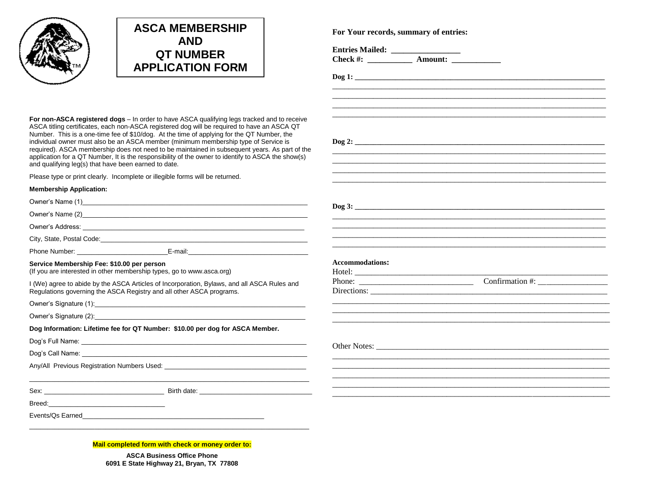



**For non-ASCA registered dogs** – In order to have ASCA qualifying legs tracked and to receive ASCA titling certificates, each non-ASCA registered dog will be required to have an ASCA QT Number. This is a one-time fee of \$10/dog. At the time of applying for the QT Number, the individual owner must also be an ASCA member (minimum membership type of Service is required). ASCA membership does not need to be maintained in subsequent years. As part of the application for a QT Number, It is the responsibility of the owner to identify to ASCA the show(s) and qualifying leg(s) that have been earned to date.

Please type or print clearly. Incomplete or illegible forms will be returned.

#### **Membership Application:**

| <b>Membership Application:</b>             |                                                                                                                                                                     |                                                                                                                                                                                                                                                                                                                                                                                                                                    |  |
|--------------------------------------------|---------------------------------------------------------------------------------------------------------------------------------------------------------------------|------------------------------------------------------------------------------------------------------------------------------------------------------------------------------------------------------------------------------------------------------------------------------------------------------------------------------------------------------------------------------------------------------------------------------------|--|
|                                            |                                                                                                                                                                     |                                                                                                                                                                                                                                                                                                                                                                                                                                    |  |
|                                            |                                                                                                                                                                     |                                                                                                                                                                                                                                                                                                                                                                                                                                    |  |
|                                            |                                                                                                                                                                     |                                                                                                                                                                                                                                                                                                                                                                                                                                    |  |
|                                            |                                                                                                                                                                     |                                                                                                                                                                                                                                                                                                                                                                                                                                    |  |
|                                            |                                                                                                                                                                     |                                                                                                                                                                                                                                                                                                                                                                                                                                    |  |
| Service Membership Fee: \$10.00 per person | (If you are interested in other membership types, go to www.asca.org)                                                                                               | <b>Accommodations:</b>                                                                                                                                                                                                                                                                                                                                                                                                             |  |
|                                            | I (We) agree to abide by the ASCA Articles of Incorporation, Bylaws, and all ASCA Rules and<br>Regulations governing the ASCA Registry and all other ASCA programs. | Confirmation $#$ :<br>Phone: $\frac{1}{\sqrt{1-\frac{1}{2}}\sqrt{1-\frac{1}{2}}\sqrt{1-\frac{1}{2}}\sqrt{1-\frac{1}{2}}\sqrt{1-\frac{1}{2}}\sqrt{1-\frac{1}{2}}\sqrt{1-\frac{1}{2}}\sqrt{1-\frac{1}{2}}\sqrt{1-\frac{1}{2}}\sqrt{1-\frac{1}{2}}\sqrt{1-\frac{1}{2}}\sqrt{1-\frac{1}{2}}\sqrt{1-\frac{1}{2}}\sqrt{1-\frac{1}{2}}\sqrt{1-\frac{1}{2}}\sqrt{1-\frac{1}{2}}\sqrt{1-\frac{1}{2}}\sqrt{1-\frac{1}{2}}\sqrt{1-\frac{1}{2$ |  |
|                                            |                                                                                                                                                                     |                                                                                                                                                                                                                                                                                                                                                                                                                                    |  |
|                                            |                                                                                                                                                                     |                                                                                                                                                                                                                                                                                                                                                                                                                                    |  |
|                                            | Dog Information: Lifetime fee for QT Number: \$10.00 per dog for ASCA Member.                                                                                       |                                                                                                                                                                                                                                                                                                                                                                                                                                    |  |
|                                            |                                                                                                                                                                     |                                                                                                                                                                                                                                                                                                                                                                                                                                    |  |
|                                            |                                                                                                                                                                     |                                                                                                                                                                                                                                                                                                                                                                                                                                    |  |
|                                            | Any/All Previous Registration Numbers Used: Any Andrew March 2014                                                                                                   |                                                                                                                                                                                                                                                                                                                                                                                                                                    |  |
|                                            |                                                                                                                                                                     |                                                                                                                                                                                                                                                                                                                                                                                                                                    |  |
|                                            |                                                                                                                                                                     |                                                                                                                                                                                                                                                                                                                                                                                                                                    |  |
|                                            |                                                                                                                                                                     |                                                                                                                                                                                                                                                                                                                                                                                                                                    |  |
|                                            |                                                                                                                                                                     |                                                                                                                                                                                                                                                                                                                                                                                                                                    |  |
|                                            |                                                                                                                                                                     |                                                                                                                                                                                                                                                                                                                                                                                                                                    |  |
|                                            |                                                                                                                                                                     |                                                                                                                                                                                                                                                                                                                                                                                                                                    |  |

**Mail completed form with check or money order to:**

**ASCA Business Office Phone 6091 E State Highway 21, Bryan, TX 77808** **For Your records, summary of entries:**

**Check #: \_\_\_\_\_\_\_\_\_\_\_ Amount: \_\_\_\_\_\_\_\_\_\_\_\_**

**Dog 1: \_\_\_\_\_\_\_\_\_\_\_\_\_\_\_\_\_\_\_\_\_\_\_\_\_\_\_\_\_\_\_\_\_\_\_\_\_\_\_\_\_\_\_\_\_\_\_\_\_\_\_\_\_\_\_\_\_\_\_\_\_\_\_\_\_\_\_\_**

\_\_\_\_\_\_\_\_\_\_\_\_\_\_\_\_\_\_\_\_\_\_\_\_\_\_\_\_\_\_\_\_\_\_\_\_\_\_\_\_\_\_\_\_\_\_\_\_\_\_\_\_\_\_\_\_\_\_\_\_\_\_\_\_\_\_\_ \_\_\_\_\_\_\_\_\_\_\_\_\_\_\_\_\_\_\_\_\_\_\_\_\_\_\_\_\_\_\_\_\_\_\_\_\_\_\_\_\_\_\_\_\_\_\_\_\_\_\_\_\_\_\_\_\_\_\_\_\_\_\_\_\_\_\_ \_\_\_\_\_\_\_\_\_\_\_\_\_\_\_\_\_\_\_\_\_\_\_\_\_\_\_\_\_\_\_\_\_\_\_\_\_\_\_\_\_\_\_\_\_\_\_\_\_\_\_\_\_\_\_\_\_\_\_\_\_\_\_\_\_\_\_

**Dog 2: \_\_\_\_\_\_\_\_\_\_\_\_\_\_\_\_\_\_\_\_\_\_\_\_\_\_\_\_\_\_\_\_\_\_\_\_\_\_\_\_\_\_\_\_\_\_\_\_\_\_\_\_\_\_\_\_\_\_\_\_\_\_\_\_\_\_\_\_**

\_\_\_\_\_\_\_\_\_\_\_\_\_\_\_\_\_\_\_\_\_\_\_\_\_\_\_\_\_\_\_\_\_\_\_\_\_\_\_\_\_\_\_\_\_\_\_\_\_\_\_\_\_\_\_\_\_\_\_\_\_\_\_\_\_\_\_

**Entries Mailed: \_\_\_\_\_\_\_\_\_\_\_\_\_\_\_\_\_**